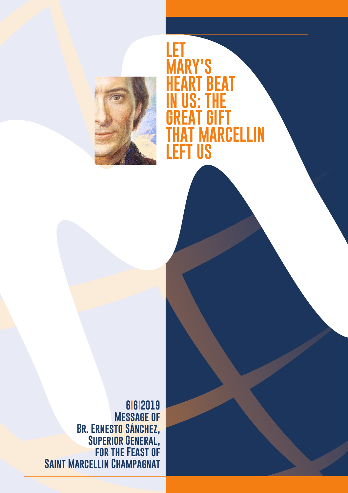

**LET MARY'S HEART BEAT IN US: THE GREAT GIFT MARCELLIN LEFT US**

**6I6I2019 Message of Br. Ernesto Sánchez, Superior General, for the Feast of Saint Marcellin Champagnat**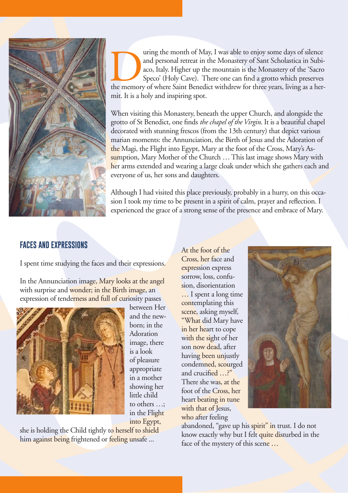

The month of May, I was able to enjoy some days of silence and personal retreat in the Monastery of Sant Scholastica in Subi-<br>aco, Italy. Higher up the mountain is the Monastery of the 'Sacro<br>Speco' (Holy Cave). There one and personal retreat in the Monastery of Sant Scholastica in Subiaco, Italy. Higher up the mountain is the Monastery of the 'Sacro Speco' (Holy Cave). There one can find a grotto which preserves mit. It is a holy and inspiring spot.

When visiting this Monastery, beneath the upper Church, and alongside the grotto of St Benedict, one finds *the chapel of the Virgin*. It is a beautiful chapel decorated with stunning frescos (from the 13th century) that depict various marian moments: the Annunciation, the Birth of Jesus and the Adoration of the Magi, the Flight into Egypt, Mary at the foot of the Cross, Mary's Assumption, Mary Mother of the Church ... This last image shows Mary with her arms extended and wearing a large cloak under which she gathers each and everyone of us, her sons and daughters.

Although I had visited this place previously, probably in a hurry, on this occasion I took my time to be present in a spirit of calm, prayer and reflection. I experienced the grace of a strong sense of the presence and embrace of Mary.

## **FACES AND EXPRESSIONS**

I spent time studying the faces and their expressions.

In the Annunciation image, Mary looks at the angel with surprise and wonder; in the Birth image, an expression of tenderness and full of curiosity passes



between Her and the newborn; in the Adoration image, there is a look of pleasure appropriate in a mother showing her little child to others …; in the Flight into Egypt,

she is holding the Child tightly to herself to shield him against being frightened or feeling unsafe ...

At the foot of the Cross, her face and expression express sorrow, loss, confusion, disorientation … I spent a long time contemplating this scene, asking myself, "What did Mary have in her heart to cope with the sight of her son now dead, after having been unjustly condemned, scourged and crucified …?" There she was, at the foot of the Cross, her heart beating in tune with that of Jesus, who after feeling



abandoned, "gave up his spirit" in trust. I do not know exactly why but I felt quite disturbed in the face of the mystery of this scene …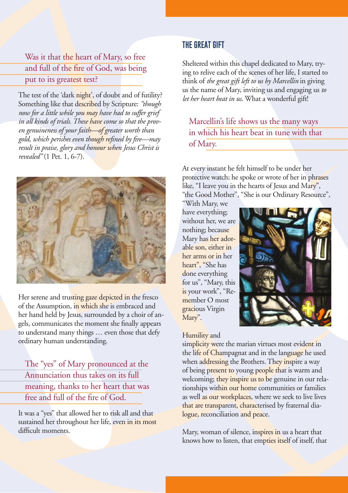Was it that the heart of Mary, so free and full of the fire of God, was being put to its greatest test?

The test of the 'dark night', of doubt and of futility? Something like that described by Scripture: *"though now for a little while you may have had to suffer grief in all kinds of trials. These have come so that the proven genuineness of your faith—of greater worth than gold, which perishes even though refined by fire—may result in praise, glory and honour when Jesus Christ is revealed"* (1 Pet. 1, 6-7).



Her serene and trusting gaze depicted in the fresco of the Assumption, in which she is embraced and her hand held by Jesus, surrounded by a choir of angels, communicates the moment she finally appears to understand many things … even those that defy ordinary human understanding.

The "yes" of Mary pronounced at the Annunciation thus takes on its full meaning, thanks to her heart that was free and full of the fire of God.

It was a "yes" that allowed her to risk all and that sustained her throughout her life, even in its most difficult moments.

## **THE GREAT GIFT**

Sheltered within this chapel dedicated to Mary, trying to relive each of the scenes of her life, I started to think of *the great gift left to us by Marcellin* in giving us the name of Mary, inviting us and engaging us *to let her heart beat in us*. What a wonderful gift!

Marcellin's life shows us the many ways in which his heart beat in tune with that of Mary.

At every instant he felt himself to be under her protective watch; he spoke or wrote of her in phrases like, "I leave you in the hearts of Jesus and Mary", "the Good Mother", "She is our Ordinary Resource",

"With Mary, we have everything; without her, we are nothing; because Mary has her adorable son, either in her arms or in her heart", "She has done everything for us", "Mary, this is your work", "Remember O most gracious Virgin Mary".

## Humility and

simplicity were the marian virtues most evident in the life of Champagnat and in the language he used when addressing the Brothers. They inspire a way of being present to young people that is warm and welcoming; they inspire us to be genuine in our relationships within our home communities or families as well as our workplaces, where we seek to live lives that are transparent, characterised by fraternal dialogue, reconciliation and peace.

Mary, woman of silence, inspires in us a heart that knows how to listen, that empties itself of itself, that